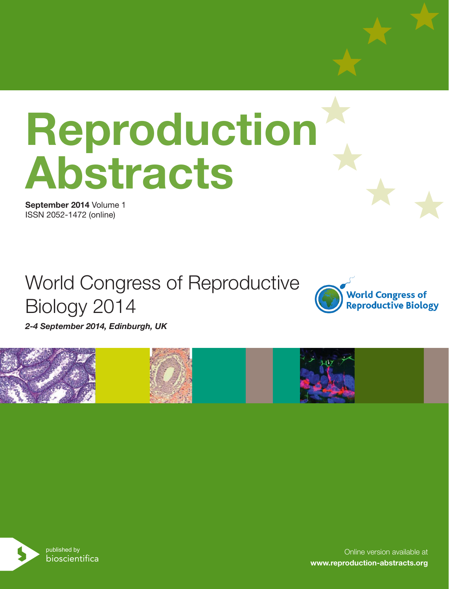# **Reproduction Abstracts**

**September 2014** Volume 1 ISSN 2052-1472 (online)

# World Congress of Reproductive Biology 2014



*2-4 September 2014, Edinburgh, UK*





Online version available at **www.reproduction-abstracts.org**